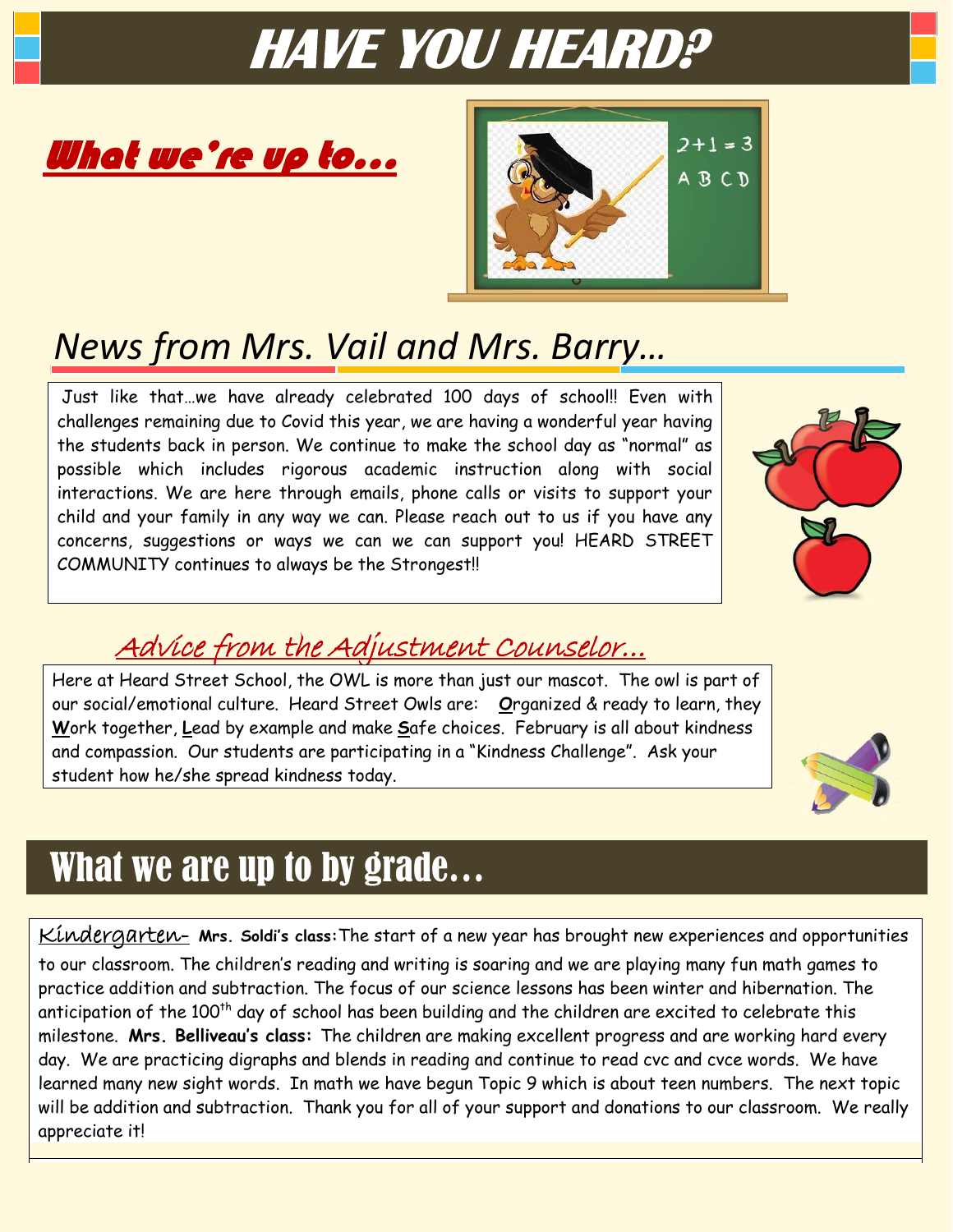# **HAVE YOU HEARD?**





### *News from Mrs. Vail and Mrs. Barry…*

Just like that…we have already celebrated 100 days of school!! Even with challenges remaining due to Covid this year, we are having a wonderful year having the students back in person. We continue to make the school day as "normal" as possible which includes rigorous academic instruction along with social interactions. We are here through emails, phone calls or visits to support your child and your family in any way we can. Please reach out to us if you have any concerns, suggestions or ways we can we can support you! HEARD STREET COMMUNITY continues to always be the Strongest!!



### Advice from the Adjustment Counselor…

Here at Heard Street School, the OWL is more than just our mascot. The owl is part of our social/emotional culture. Heard Street Owls are: **O**rganized & ready to learn, they **W**ork together, **L**ead by example and make **S**afe choices. February is all about kindness and compassion. Our students are participating in a "Kindness Challenge". Ask your student how he/she spread kindness today.



## What we are up to by grade…

Kindergarten- **Mrs. Soldi's class:**The start of a new year has brought new experiences and opportunities

to our classroom. The children's reading and writing is soaring and we are playing many fun math games to practice addition and subtraction. The focus of our science lessons has been winter and hibernation. The anticipation of the 100<sup>th</sup> day of school has been building and the children are excited to celebrate this milestone. **Mrs. Belliveau's class:** The children are making excellent progress and are working hard every day. We are practicing digraphs and blends in reading and continue to read cvc and cvce words. We have learned many new sight words. In math we have begun Topic 9 which is about teen numbers. The next topic will be addition and subtraction. Thank you for all of your support and donations to our classroom. We really appreciate it!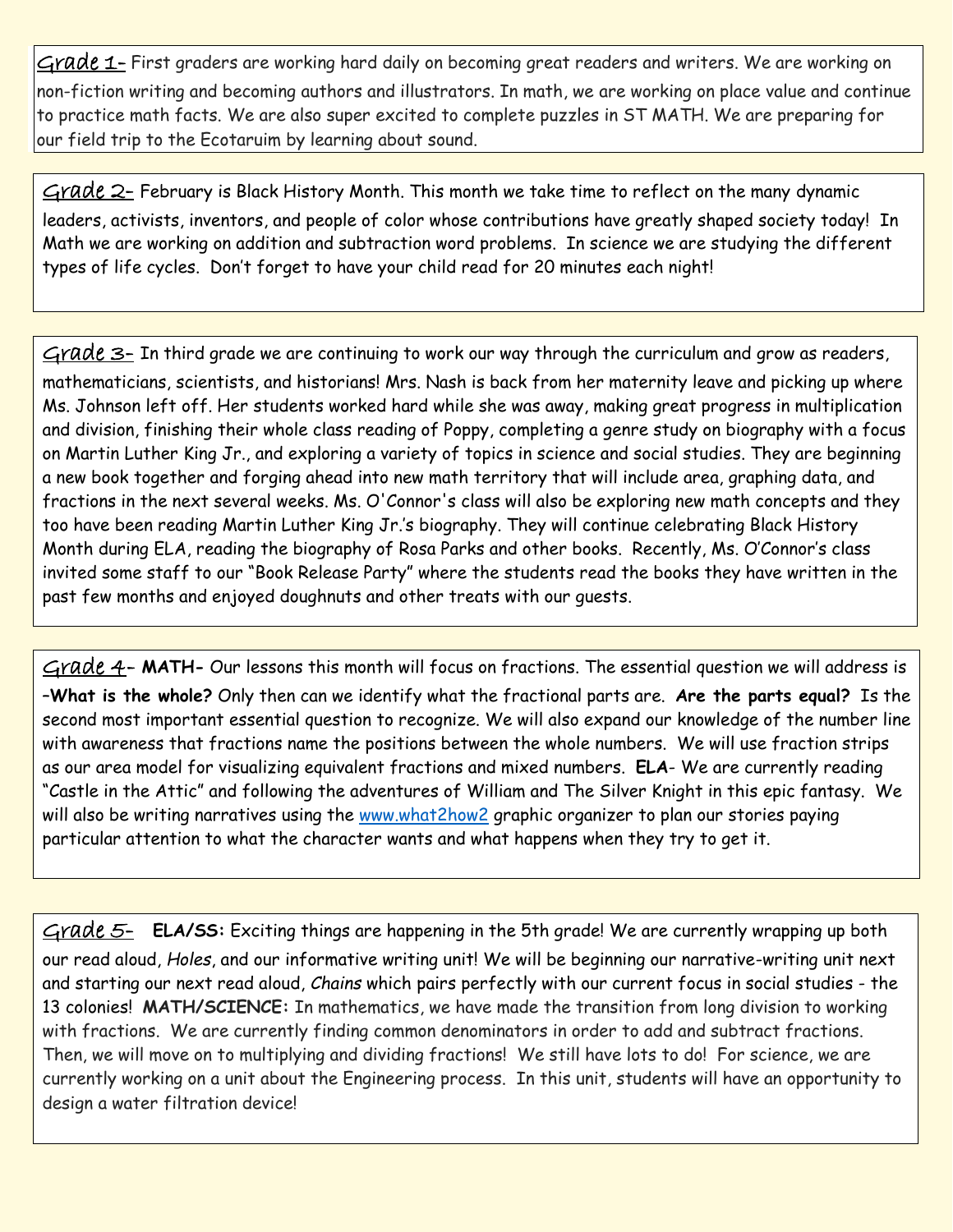Grade 1- First graders are working hard daily on becoming great readers and writers. We are working on non-fiction writing and becoming authors and illustrators. In math, we are working on place value and continue to practice math facts. We are also super excited to complete puzzles in ST MATH. We are preparing for our field trip to the Ecotaruim by learning about sound.

 $G$ rade  $2$ - February is Black History Month. This month we take time to reflect on the many dynamic leaders, activists, inventors, and people of color whose contributions have greatly shaped society today! In Math we are working on addition and subtraction word problems. In science we are studying the different types of life cycles. Don't forget to have your child read for 20 minutes each night!

 $Grade$  3- In third grade we are continuing to work our way through the curriculum and grow as readers, mathematicians, scientists, and historians! Mrs. Nash is back from her maternity leave and picking up where Ms. Johnson left off. Her students worked hard while she was away, making great progress in multiplication and division, finishing their whole class reading of Poppy, completing a genre study on biography with a focus on Martin Luther King Jr., and exploring a variety of topics in science and social studies. They are beginning a new book together and forging ahead into new math territory that will include area, graphing data, and fractions in the next several weeks. Ms. O'Connor's class will also be exploring new math concepts and they too have been reading Martin Luther King Jr.'s biography. They will continue celebrating Black History Month during ELA, reading the biography of Rosa Parks and other books. Recently, Ms. O'Connor's class invited some staff to our "Book Release Party" where the students read the books they have written in the past few months and enjoyed doughnuts and other treats with our guests.

Grade 4- MATH- Our lessons this month will focus on fractions. The essential question we will address is –**What is the whole?** Only then can we identify what the fractional parts are. **Are the parts equal?** Is the second most important essential question to recognize. We will also expand our knowledge of the number line with awareness that fractions name the positions between the whole numbers. We will use fraction strips as our area model for visualizing equivalent fractions and mixed numbers. **ELA**- We are currently reading "Castle in the Attic" and following the adventures of William and The Silver Knight in this epic fantasy. We will also be writing narratives using the [www.what2how2](http://www.what2how2/) graphic organizer to plan our stories paying particular attention to what the character wants and what happens when they try to get it.

Grade 5- **ELA/SS:** Exciting things are happening in the 5th grade! We are currently wrapping up both our read aloud, *Holes*, and our informative writing unit! We will be beginning our narrative-writing unit next and starting our next read aloud, *Chains* which pairs perfectly with our current focus in social studies - the 13 colonies! **MATH/SCIENCE:** In mathematics, we have made the transition from long division to working with fractions. We are currently finding common denominators in order to add and subtract fractions. Then, we will move on to multiplying and dividing fractions! We still have lots to do! For science, we are currently working on a unit about the Engineering process. In this unit, students will have an opportunity to design a water filtration device!